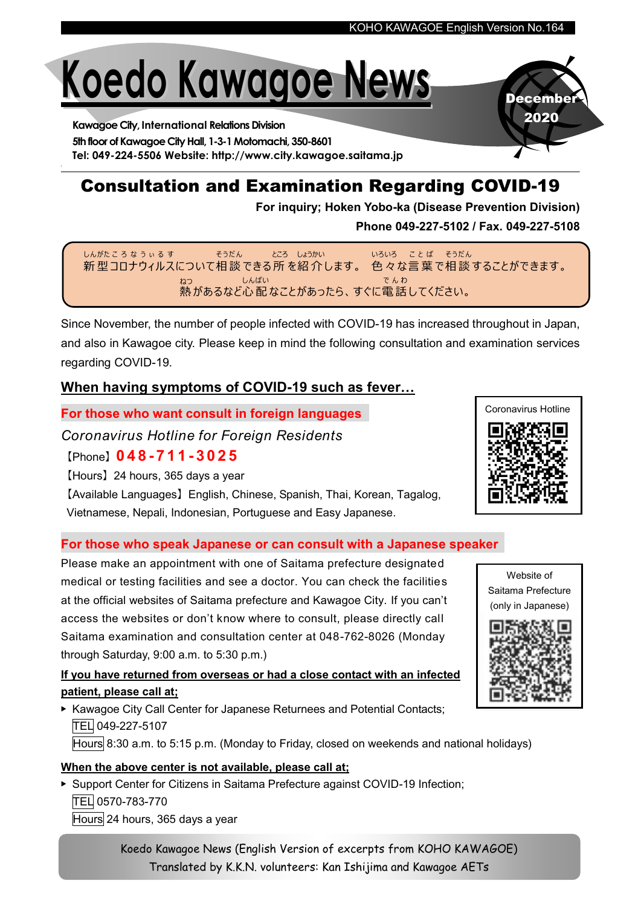# Koedo Kawagoe News

Kawagoe City, International Relations Division 5th floor of Kawagoe City Hall, 1-3-1 Motomachi, 350-8601 Tel: 049-224-5506 Website: http://www.city.kawagoe.saitama.jp

# Consultation and Examination Regarding COVID-19

For inquiry; Hoken Yobo-ka (Disease Prevention Division)

Phone 049-227-5102 / Fax. 049-227-5108

新 型 コロナウィルスについて相 談 できる 所 を紹 介 します。 色 々 な言 葉 で相 談 することができます。 しんがた こ ろ な う ぃ る す そうだん ところ しょうかい いろいろ ことば そうだん 熱 があるなど心 配 なことがあったら、すぐに電 話 してください。 ねつ しんぱい で ん わ

Since November, the number of people infected with COVID-19 has increased throughout in Japan, and also in Kawagoe city. Please keep in mind the following consultation and examination services regarding COVID-19.

#### When having symptoms of COVID-19 such as fever…

For those who want consult in foreign languages

Coronavirus Hotline for Foreign Residents

【Phone】0 4 8 - 7 1 1 - 3 0 2 5

【Hours】24 hours, 365 days a year

【Available Languages】English, Chinese, Spanish, Thai, Korean, Tagalog, Vietnamese, Nepali, Indonesian, Portuguese and Easy Japanese.

#### For those who speak Japanese or can consult with a Japanese speaker

Please make an appointment with one of Saitama prefecture designated medical or testing facilities and see a doctor. You can check the facilities at the official websites of Saitama prefecture and Kawagoe City. If you can't access the websites or don't know where to consult, please directly call Saitama examination and consultation center at 048-762-8026 (Monday through Saturday, 9:00 a.m. to 5:30 p.m.)

#### If you have returned from overseas or had a close contact with an infected patient, please call at;

▶ Kawagoe City Call Center for Japanese Returnees and Potential Contacts; TEL 049-227-5107 Hours 8:30 a.m. to 5:15 p.m. (Monday to Friday, closed on weekends and national holidays)

#### When the above center is not available, please call at;

▶ Support Center for Citizens in Saitama Prefecture against COVID-19 Infection; TEL 0570-783-770 Hours 24 hours, 365 days a year

> Koedo Kawagoe News (English Version of excerpts from KOHO KAWAGOE) Translated by K.K.N. volunteers: Kan Ishijima and Kawagoe AETs



December 2020



Website of Saitama Prefecture